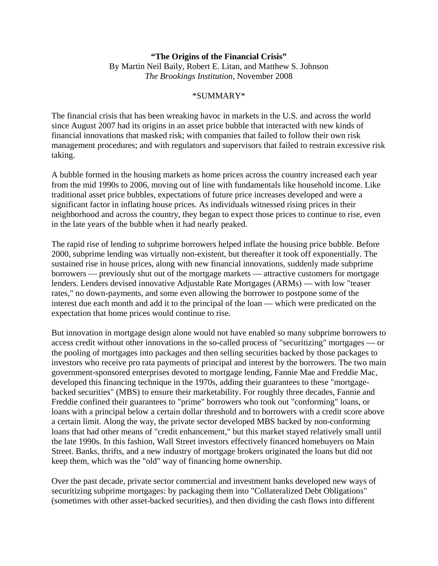## **"The Origins of the Financial Crisis"**  By Martin Neil Baily, Robert E. Litan, and Matthew S. Johnson *The Brookings Institution*, November 2008

## \*SUMMARY\*

The financial crisis that has been wreaking havoc in markets in the U.S. and across the world since August 2007 had its origins in an asset price bubble that interacted with new kinds of financial innovations that masked risk; with companies that failed to follow their own risk management procedures; and with regulators and supervisors that failed to restrain excessive risk taking.

A bubble formed in the housing markets as home prices across the country increased each year from the mid 1990s to 2006, moving out of line with fundamentals like household income. Like traditional asset price bubbles, expectations of future price increases developed and were a significant factor in inflating house prices. As individuals witnessed rising prices in their neighborhood and across the country, they began to expect those prices to continue to rise, even in the late years of the bubble when it had nearly peaked.

The rapid rise of lending to subprime borrowers helped inflate the housing price bubble. Before 2000, subprime lending was virtually non-existent, but thereafter it took off exponentially. The sustained rise in house prices, along with new financial innovations, suddenly made subprime borrowers — previously shut out of the mortgage markets — attractive customers for mortgage lenders. Lenders devised innovative Adjustable Rate Mortgages (ARMs) — with low "teaser rates," no down-payments, and some even allowing the borrower to postpone some of the interest due each month and add it to the principal of the loan — which were predicated on the expectation that home prices would continue to rise.

But innovation in mortgage design alone would not have enabled so many subprime borrowers to access credit without other innovations in the so-called process of "securitizing" mortgages — or the pooling of mortgages into packages and then selling securities backed by those packages to investors who receive pro rata payments of principal and interest by the borrowers. The two main government-sponsored enterprises devoted to mortgage lending, Fannie Mae and Freddie Mac, developed this financing technique in the 1970s, adding their guarantees to these "mortgagebacked securities" (MBS) to ensure their marketability. For roughly three decades, Fannie and Freddie confined their guarantees to "prime" borrowers who took out "conforming" loans, or loans with a principal below a certain dollar threshold and to borrowers with a credit score above a certain limit. Along the way, the private sector developed MBS backed by non-conforming loans that had other means of "credit enhancement," but this market stayed relatively small until the late 1990s. In this fashion, Wall Street investors effectively financed homebuyers on Main Street. Banks, thrifts, and a new industry of mortgage brokers originated the loans but did not keep them, which was the "old" way of financing home ownership.

Over the past decade, private sector commercial and investment banks developed new ways of securitizing subprime mortgages: by packaging them into "Collateralized Debt Obligations" (sometimes with other asset-backed securities), and then dividing the cash flows into different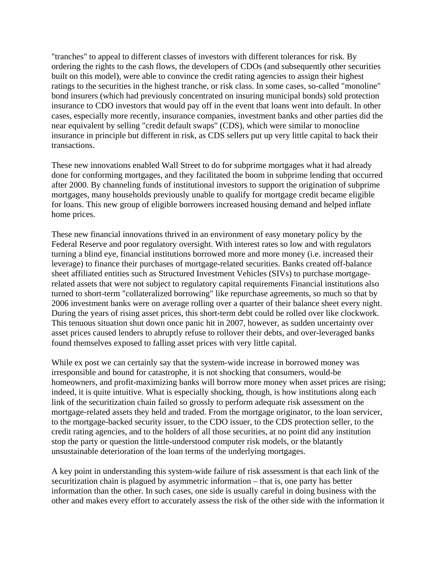"tranches" to appeal to different classes of investors with different tolerances for risk. By ordering the rights to the cash flows, the developers of CDOs (and subsequently other securities built on this model), were able to convince the credit rating agencies to assign their highest ratings to the securities in the highest tranche, or risk class. In some cases, so-called "monoline" bond insurers (which had previously concentrated on insuring municipal bonds) sold protection insurance to CDO investors that would pay off in the event that loans went into default. In other cases, especially more recently, insurance companies, investment banks and other parties did the near equivalent by selling "credit default swaps" (CDS), which were similar to monocline insurance in principle but different in risk, as CDS sellers put up very little capital to back their transactions.

These new innovations enabled Wall Street to do for subprime mortgages what it had already done for conforming mortgages, and they facilitated the boom in subprime lending that occurred after 2000. By channeling funds of institutional investors to support the origination of subprime mortgages, many households previously unable to qualify for mortgage credit became eligible for loans. This new group of eligible borrowers increased housing demand and helped inflate home prices.

These new financial innovations thrived in an environment of easy monetary policy by the Federal Reserve and poor regulatory oversight. With interest rates so low and with regulators turning a blind eye, financial institutions borrowed more and more money (i.e. increased their leverage) to finance their purchases of mortgage-related securities. Banks created off-balance sheet affiliated entities such as Structured Investment Vehicles (SIVs) to purchase mortgagerelated assets that were not subject to regulatory capital requirements Financial institutions also turned to short-term "collateralized borrowing" like repurchase agreements, so much so that by 2006 investment banks were on average rolling over a quarter of their balance sheet every night. During the years of rising asset prices, this short-term debt could be rolled over like clockwork. This tenuous situation shut down once panic hit in 2007, however, as sudden uncertainty over asset prices caused lenders to abruptly refuse to rollover their debts, and over-leveraged banks found themselves exposed to falling asset prices with very little capital.

While ex post we can certainly say that the system-wide increase in borrowed money was irresponsible and bound for catastrophe, it is not shocking that consumers, would-be homeowners, and profit-maximizing banks will borrow more money when asset prices are rising; indeed, it is quite intuitive. What is especially shocking, though, is how institutions along each link of the securitization chain failed so grossly to perform adequate risk assessment on the mortgage-related assets they held and traded. From the mortgage originator, to the loan servicer, to the mortgage-backed security issuer, to the CDO issuer, to the CDS protection seller, to the credit rating agencies, and to the holders of all those securities, at no point did any institution stop the party or question the little-understood computer risk models, or the blatantly unsustainable deterioration of the loan terms of the underlying mortgages.

A key point in understanding this system-wide failure of risk assessment is that each link of the securitization chain is plagued by asymmetric information – that is, one party has better information than the other. In such cases, one side is usually careful in doing business with the other and makes every effort to accurately assess the risk of the other side with the information it